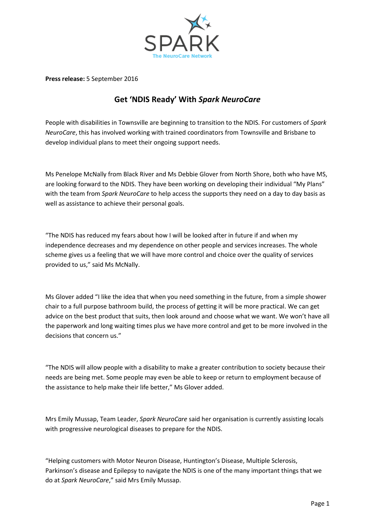

**Press release:** 5 September 2016

## **Get 'NDIS Ready' With** *Spark NeuroCare*

People with disabilities in Townsville are beginning to transition to the NDIS. For customers of *Spark NeuroCare*, this has involved working with trained coordinators from Townsville and Brisbane to develop individual plans to meet their ongoing support needs.

Ms Penelope McNally from Black River and Ms Debbie Glover from North Shore, both who have MS, are looking forward to the NDIS. They have been working on developing their individual "My Plans" with the team from *Spark NeuroCare* to help access the supports they need on a day to day basis as well as assistance to achieve their personal goals.

"The NDIS has reduced my fears about how I will be looked after in future if and when my independence decreases and my dependence on other people and services increases. The whole scheme gives us a feeling that we will have more control and choice over the quality of services provided to us," said Ms McNally.

Ms Glover added "I like the idea that when you need something in the future, from a simple shower chair to a full purpose bathroom build, the process of getting it will be more practical. We can get advice on the best product that suits, then look around and choose what we want. We won't have all the paperwork and long waiting times plus we have more control and get to be more involved in the decisions that concern us."

"The NDIS will allow people with a disability to make a greater contribution to society because their needs are being met. Some people may even be able to keep or return to employment because of the assistance to help make their life better," Ms Glover added.

Mrs Emily Mussap, Team Leader, *Spark NeuroCare* said her organisation is currently assisting locals with progressive neurological diseases to prepare for the NDIS.

"Helping customers with Motor Neuron Disease, Huntington's Disease, Multiple Sclerosis, Parkinson's disease and Epilepsy to navigate the NDIS is one of the many important things that we do at *Spark NeuroCare*," said Mrs Emily Mussap.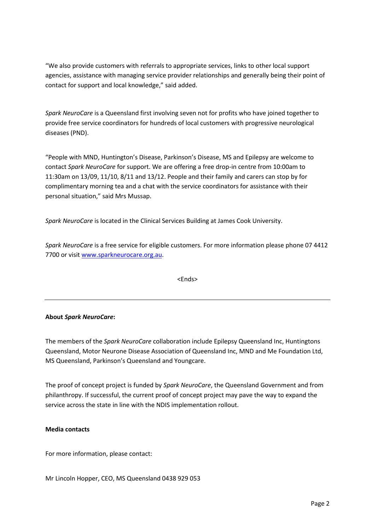"We also provide customers with referrals to appropriate services, links to other local support agencies, assistance with managing service provider relationships and generally being their point of contact for support and local knowledge," said added.

*Spark NeuroCare* is a Queensland first involving seven not for profits who have joined together to provide free service coordinators for hundreds of local customers with progressive neurological diseases (PND).

"People with MND, Huntington's Disease, Parkinson's Disease, MS and Epilepsy are welcome to contact *Spark NeuroCare* for support. We are offering a free drop-in centre from 10:00am to 11:30am on 13/09, 11/10, 8/11 and 13/12. People and their family and carers can stop by for complimentary morning tea and a chat with the service coordinators for assistance with their personal situation," said Mrs Mussap.

*Spark NeuroCare* is located in the Clinical Services Building at James Cook University.

*Spark NeuroCare* is a free service for eligible customers. For more information please phone 07 4412 7700 or visi[t www.sparkneurocare.org.au.](http://www.sparkneurocare.org.au/)

<Ends>

## **About** *Spark NeuroCare***:**

The members of the *Spark NeuroCare* collaboration include Epilepsy Queensland Inc, Huntingtons Queensland, Motor Neurone Disease Association of Queensland Inc, MND and Me Foundation Ltd, MS Queensland, Parkinson's Queensland and Youngcare.

The proof of concept project is funded by *Spark NeuroCare*, the Queensland Government and from philanthropy. If successful, the current proof of concept project may pave the way to expand the service across the state in line with the NDIS implementation rollout.

## **Media contacts**

For more information, please contact:

Mr Lincoln Hopper, CEO, MS Queensland 0438 929 053